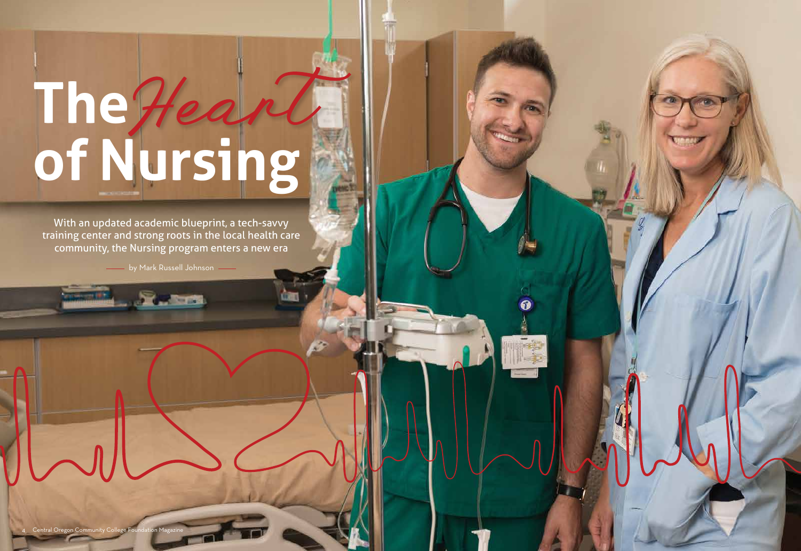# **The of Nursing** Heart

With an updated academic blueprint, a tech-savvy training center and strong roots in the local health care community, the Nursing program enters a new era

**Last Lines by Mark Russell Johnson** 



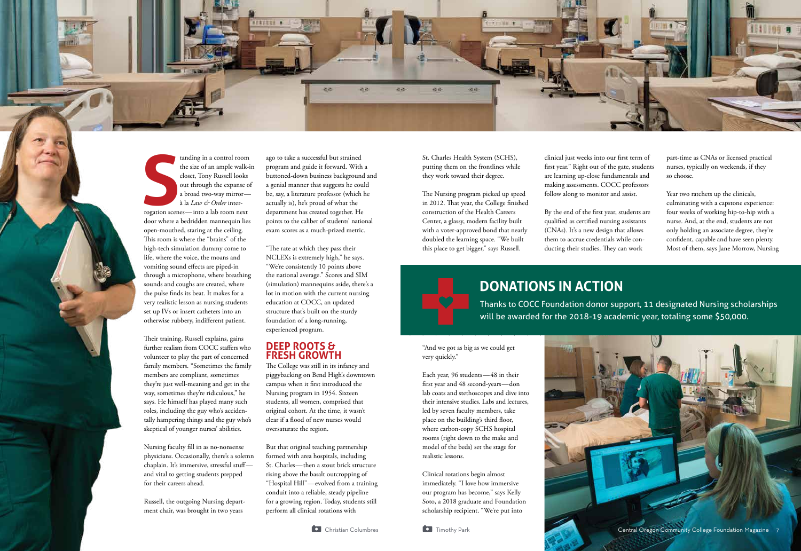





**S**<br>rogation scen tanding in a control room the size of an ample walk-in closet, Tony Russell looks out through the expanse of a broad two-way mirror à la *Law & Order* interrogation scenes — into a lab room next door where a bedridden mannequin lies open-mouthed, staring at the ceiling. This room is where the "brains" of the high-tech simulation dummy come to life, where the voice, the moans and vomiting sound effects are piped-in through a microphone, where breathing sounds and coughs are created, where the pulse finds its beat. It makes for a very realistic lesson as nursing students set up IVs or insert catheters into an otherwise rubbery, indifferent patient.

Their training, Russell explains, gains further realism from COCC staffers who volunteer to play the part of concerned family members. "Sometimes the family members are compliant, sometimes they're just well-meaning and get in the way, sometimes they're ridiculous," he says. He himself has played many such roles, including the guy who's accidentally hampering things and the guy who's skeptical of younger nurses' abilities.

Nursing faculty fill in as no-nonsense physicians. Occasionally, there's a solemn chaplain. It's immersive, stressful stuffand vital to getting students prepped for their careers ahead.

Russell, the outgoing Nursing department chair, was brought in two years

ago to take a successful but strained program and guide it forward. With a buttoned-down business background and a genial manner that suggests he could be, say, a literature professor (which he actually is), he's proud of what the department has created together. He points to the caliber of students' national exam scores as a much-prized metric.

"The rate at which they pass their NCLEXs is extremely high," he says. "We're consistently 10 points above the national average." Scores and SIM (simulation) mannequins aside, there's a lot in motion with the current nursing education at COCC, an updated structure that's built on the sturdy foundation of a long-running, experienced program.

#### **DEEP ROOTS & FRESH GROWTH**

The College was still in its infancy and piggybacking on Bend High's downtown campus when it first introduced the Nursing program in 1954. Sixteen students, all women, comprised that original cohort. At the time, it wasn't clear if a flood of new nurses would oversaturate the region.

But that original teaching partnership formed with area hospitals, including St. Charles — then a stout brick structure rising above the basalt outcropping of "Hospital Hill" — evolved from a training conduit into a reliable, steady pipeline for a growing region. Today, students still perform all clinical rotations with



St. Charles Health System (SCHS), putting them on the frontlines while they work toward their degree.

The Nursing program picked up speed in 2012. That year, the College finished construction of the Health Careers Center, a glassy, modern facility built with a voter-approved bond that nearly doubled the learning space. "We built this place to get bigger," says Russell.

#### "And we got as big as we could get very quickly."

Each year, 96 students — 48 in their first year and 48 second-years — don lab coats and stethoscopes and dive into their intensive studies. Labs and lectures, led by seven faculty members, take place on the building's third floor, where carbon-copy SCHS hospital rooms (right down to the make and model of the beds) set the stage for realistic lessons.

Clinical rotations begin almost immediately. "I love how immersive our program has become," says Kelly Soto, a 2018 graduate and Foundation scholarship recipient. "We're put into

clinical just weeks into our first term of first year." Right out of the gate, students are learning up-close fundamentals and making assessments. COCC professors follow along to monitor and assist.

By the end of the first year, students are qualified as certified nursing assistants (CNAs). It's a new design that allows them to accrue credentials while conducting their studies. They can work



**DONATIONS IN ACTION**

Thanks to COCC Foundation donor support, 11 designated Nursing scholarships will be awarded for the 2018-19 academic year, totaling some \$50,000.

part-time as CNAs or licensed practical nurses, typically on weekends, if they so choose.

Year two ratchets up the clinicals, culminating with a capstone experience: four weeks of working hip-to-hip with a nurse. And, at the end, students are not only holding an associate degree, they're confident, capable and have seen plenty. Most of them, says Jane Morrow, Nursing